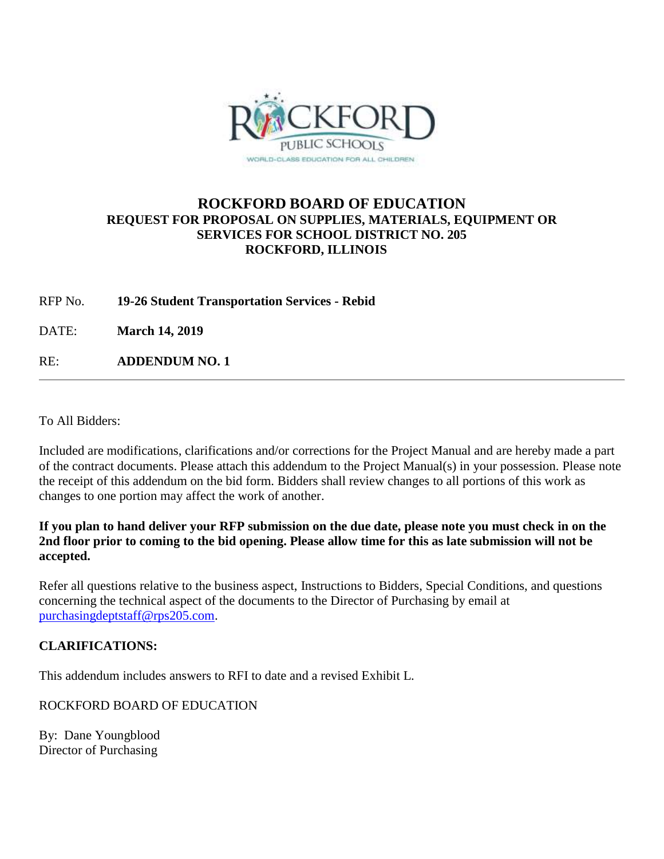

#### **ROCKFORD BOARD OF EDUCATION REQUEST FOR PROPOSAL ON SUPPLIES, MATERIALS, EQUIPMENT OR SERVICES FOR SCHOOL DISTRICT NO. 205 ROCKFORD, ILLINOIS**

RFP No. **19-26 Student Transportation Services - Rebid**

DATE: **March 14, 2019**

RE: **ADDENDUM NO. 1**

To All Bidders:

Included are modifications, clarifications and/or corrections for the Project Manual and are hereby made a part of the contract documents. Please attach this addendum to the Project Manual(s) in your possession. Please note the receipt of this addendum on the bid form. Bidders shall review changes to all portions of this work as changes to one portion may affect the work of another.

**If you plan to hand deliver your RFP submission on the due date, please note you must check in on the 2nd floor prior to coming to the bid opening. Please allow time for this as late submission will not be accepted.**

Refer all questions relative to the business aspect, Instructions to Bidders, Special Conditions, and questions concerning the technical aspect of the documents to the Director of Purchasing by email at [purchasingdeptstaff@rps205.com.](mailto:purchasingdeptstaff@rps205.com)

#### **CLARIFICATIONS:**

This addendum includes answers to RFI to date and a revised Exhibit L.

ROCKFORD BOARD OF EDUCATION

By: Dane Youngblood Director of Purchasing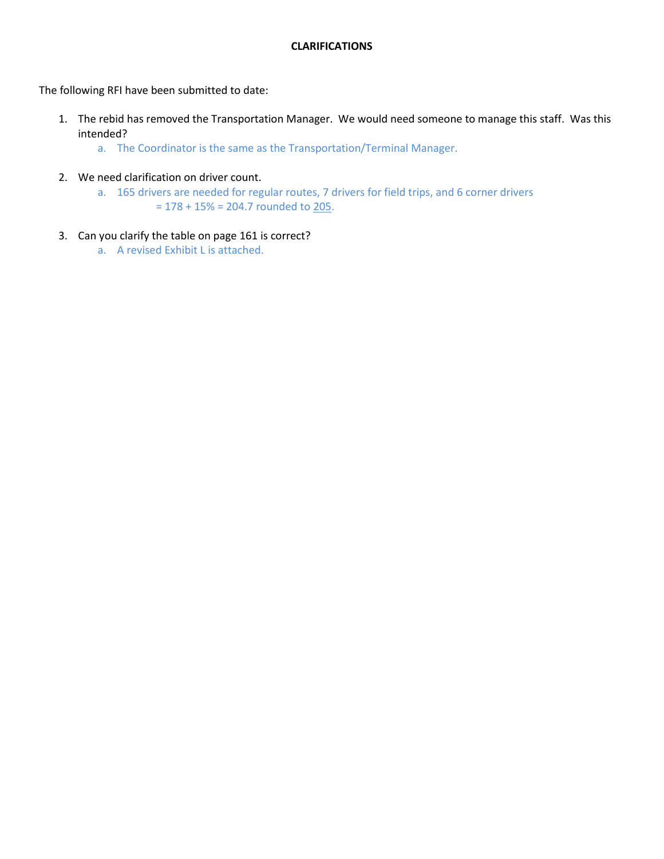#### **CLARIFICATIONS**

The following RFI have been submitted to date:

- 1. The rebid has removed the Transportation Manager. We would need someone to manage this staff. Was this intended?
	- a. The Coordinator is the same as the Transportation/Terminal Manager.
- 2. We need clarification on driver count.
	- a. 165 drivers are needed for regular routes, 7 drivers for field trips, and 6 corner drivers  $= 178 + 15\% = 204.7$  rounded to 205.
- 3. Can you clarify the table on page 161 is correct?
	- a. A revised Exhibit L is attached.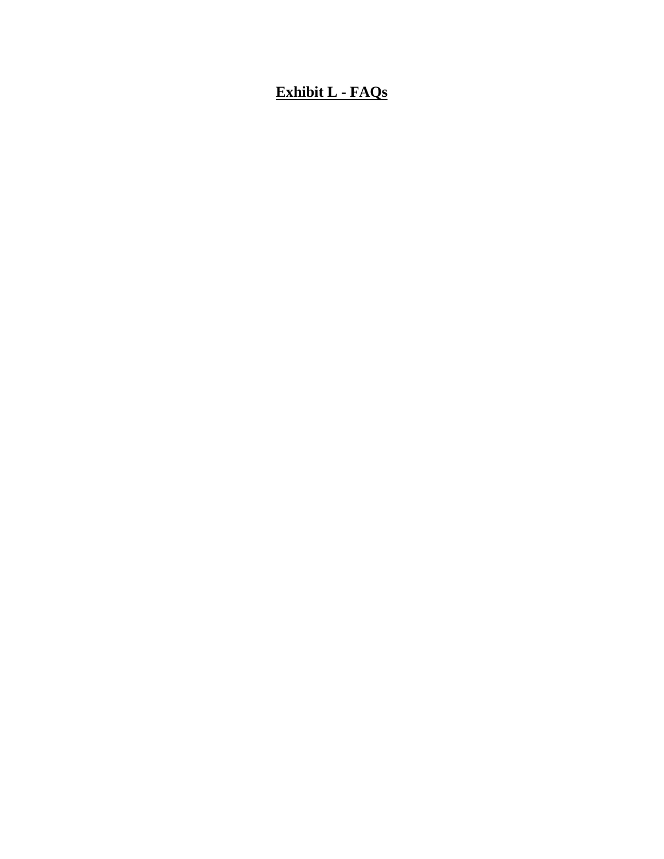### **Exhibit L - FAQs**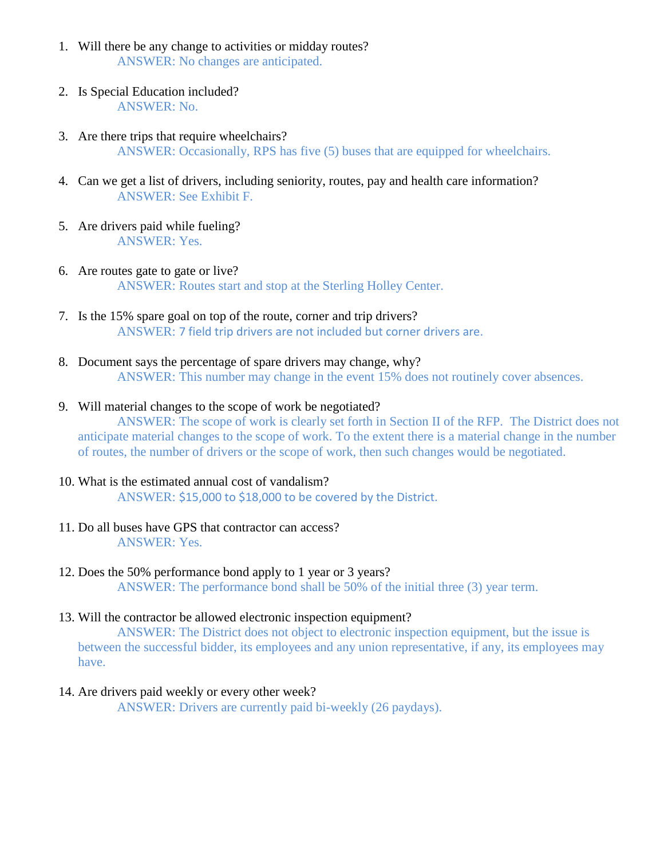- 1. Will there be any change to activities or midday routes? ANSWER: No changes are anticipated.
- 2. Is Special Education included? ANSWER: No.
- 3. Are there trips that require wheelchairs? ANSWER: Occasionally, RPS has five (5) buses that are equipped for wheelchairs.
- 4. Can we get a list of drivers, including seniority, routes, pay and health care information? ANSWER: See Exhibit F.
- 5. Are drivers paid while fueling? ANSWER: Yes.
- 6. Are routes gate to gate or live? ANSWER: Routes start and stop at the Sterling Holley Center.
- 7. Is the 15% spare goal on top of the route, corner and trip drivers? ANSWER: 7 field trip drivers are not included but corner drivers are.
- 8. Document says the percentage of spare drivers may change, why? ANSWER: This number may change in the event 15% does not routinely cover absences.
- 9. Will material changes to the scope of work be negotiated? ANSWER: The scope of work is clearly set forth in Section II of the RFP. The District does not anticipate material changes to the scope of work. To the extent there is a material change in the number of routes, the number of drivers or the scope of work, then such changes would be negotiated.
- 10. What is the estimated annual cost of vandalism? ANSWER: \$15,000 to \$18,000 to be covered by the District.
- 11. Do all buses have GPS that contractor can access? ANSWER: Yes.
- 12. Does the 50% performance bond apply to 1 year or 3 years? ANSWER: The performance bond shall be 50% of the initial three (3) year term.
- 13. Will the contractor be allowed electronic inspection equipment?

ANSWER: The District does not object to electronic inspection equipment, but the issue is between the successful bidder, its employees and any union representative, if any, its employees may have.

14. Are drivers paid weekly or every other week? ANSWER: Drivers are currently paid bi-weekly (26 paydays).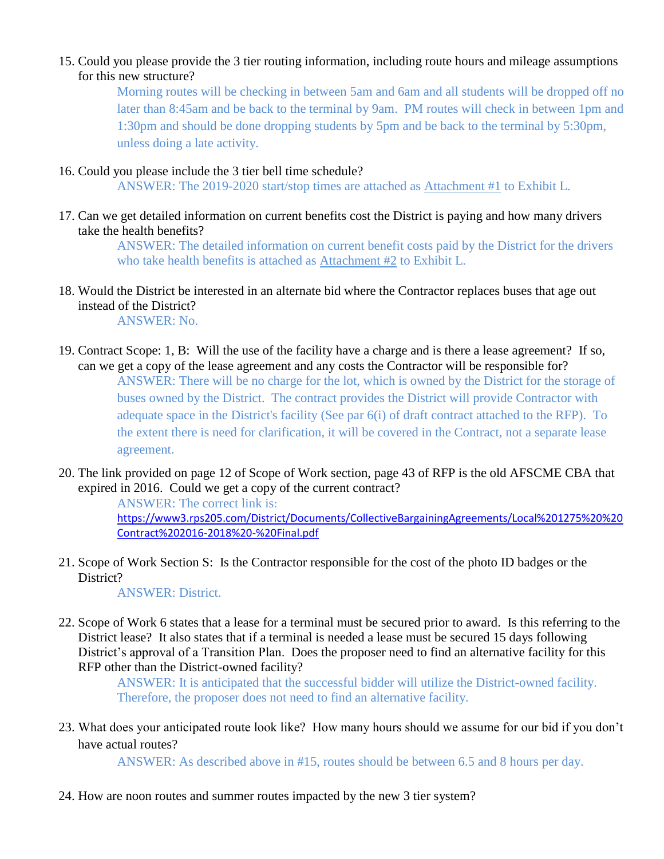#### 15. Could you please provide the 3 tier routing information, including route hours and mileage assumptions for this new structure?

Morning routes will be checking in between 5am and 6am and all students will be dropped off no later than 8:45am and be back to the terminal by 9am. PM routes will check in between 1pm and 1:30pm and should be done dropping students by 5pm and be back to the terminal by 5:30pm, unless doing a late activity.

#### 16. Could you please include the 3 tier bell time schedule?

ANSWER: The 2019-2020 start/stop times are attached as Attachment #1 to Exhibit L.

17. Can we get detailed information on current benefits cost the District is paying and how many drivers take the health benefits?

> ANSWER: The detailed information on current benefit costs paid by the District for the drivers who take health benefits is attached as Attachment #2 to Exhibit L.

18. Would the District be interested in an alternate bid where the Contractor replaces buses that age out instead of the District?

ANSWER: No.

- 19. Contract Scope: 1, B: Will the use of the facility have a charge and is there a lease agreement? If so, can we get a copy of the lease agreement and any costs the Contractor will be responsible for? ANSWER: There will be no charge for the lot, which is owned by the District for the storage of buses owned by the District. The contract provides the District will provide Contractor with adequate space in the District's facility (See par 6(i) of draft contract attached to the RFP). To the extent there is need for clarification, it will be covered in the Contract, not a separate lease agreement.
- 20. The link provided on page 12 of Scope of Work section, page 43 of RFP is the old AFSCME CBA that expired in 2016. Could we get a copy of the current contract?

ANSWER: The correct link is: [https://www3.rps205.com/District/Documents/CollectiveBargainingAgreements/Local%201275%20%20](https://www3.rps205.com/District/Documents/CollectiveBargainingAgreements/Local%201275%20%20Contract%202016-2018%20-%20Final.pdf) [Contract%202016-2018%20-%20Final.pdf](https://www3.rps205.com/District/Documents/CollectiveBargainingAgreements/Local%201275%20%20Contract%202016-2018%20-%20Final.pdf)

21. Scope of Work Section S: Is the Contractor responsible for the cost of the photo ID badges or the District?

ANSWER: District.

22. Scope of Work 6 states that a lease for a terminal must be secured prior to award. Is this referring to the District lease? It also states that if a terminal is needed a lease must be secured 15 days following District's approval of a Transition Plan. Does the proposer need to find an alternative facility for this RFP other than the District-owned facility?

> ANSWER: It is anticipated that the successful bidder will utilize the District-owned facility. Therefore, the proposer does not need to find an alternative facility.

23. What does your anticipated route look like? How many hours should we assume for our bid if you don't have actual routes?

ANSWER: As described above in #15, routes should be between 6.5 and 8 hours per day.

24. How are noon routes and summer routes impacted by the new 3 tier system?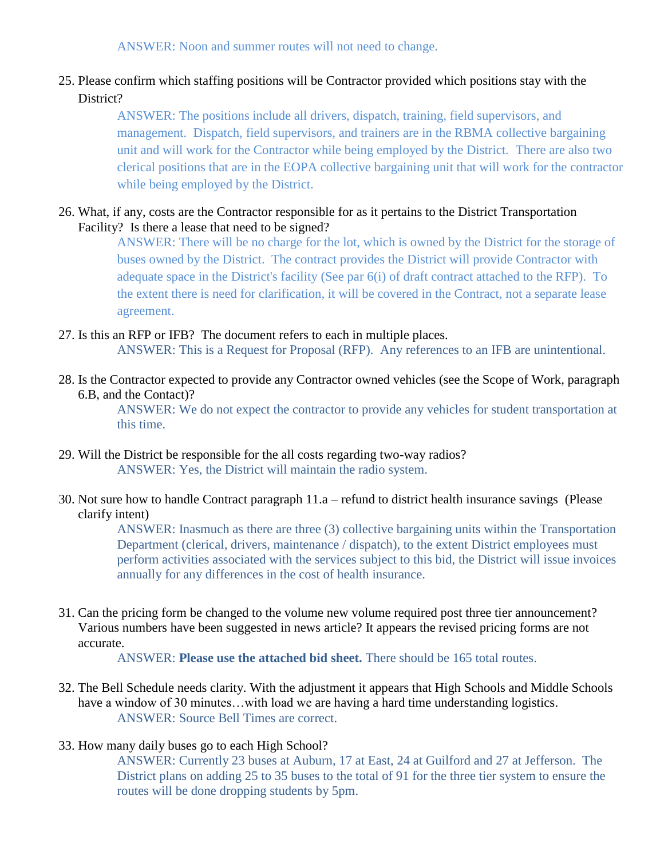ANSWER: Noon and summer routes will not need to change.

#### 25. Please confirm which staffing positions will be Contractor provided which positions stay with the District?

ANSWER: The positions include all drivers, dispatch, training, field supervisors, and management. Dispatch, field supervisors, and trainers are in the RBMA collective bargaining unit and will work for the Contractor while being employed by the District. There are also two clerical positions that are in the EOPA collective bargaining unit that will work for the contractor while being employed by the District.

#### 26. What, if any, costs are the Contractor responsible for as it pertains to the District Transportation Facility? Is there a lease that need to be signed?

ANSWER: There will be no charge for the lot, which is owned by the District for the storage of buses owned by the District. The contract provides the District will provide Contractor with adequate space in the District's facility (See par 6(i) of draft contract attached to the RFP). To the extent there is need for clarification, it will be covered in the Contract, not a separate lease agreement.

27. Is this an RFP or IFB? The document refers to each in multiple places. ANSWER: This is a Request for Proposal (RFP). Any references to an IFB are unintentional.

28. Is the Contractor expected to provide any Contractor owned vehicles (see the Scope of Work, paragraph 6.B, and the Contact)?

> ANSWER: We do not expect the contractor to provide any vehicles for student transportation at this time.

- 29. Will the District be responsible for the all costs regarding two-way radios? ANSWER: Yes, the District will maintain the radio system.
- 30. Not sure how to handle Contract paragraph 11.a refund to district health insurance savings (Please clarify intent)

ANSWER: Inasmuch as there are three (3) collective bargaining units within the Transportation Department (clerical, drivers, maintenance / dispatch), to the extent District employees must perform activities associated with the services subject to this bid, the District will issue invoices annually for any differences in the cost of health insurance.

31. Can the pricing form be changed to the volume new volume required post three tier announcement? Various numbers have been suggested in news article? It appears the revised pricing forms are not accurate.

ANSWER: **Please use the attached bid sheet.** There should be 165 total routes.

- 32. The Bell Schedule needs clarity. With the adjustment it appears that High Schools and Middle Schools have a window of 30 minutes...with load we are having a hard time understanding logistics. ANSWER: Source Bell Times are correct.
- 33. How many daily buses go to each High School?

ANSWER: Currently 23 buses at Auburn, 17 at East, 24 at Guilford and 27 at Jefferson. The District plans on adding 25 to 35 buses to the total of 91 for the three tier system to ensure the routes will be done dropping students by 5pm.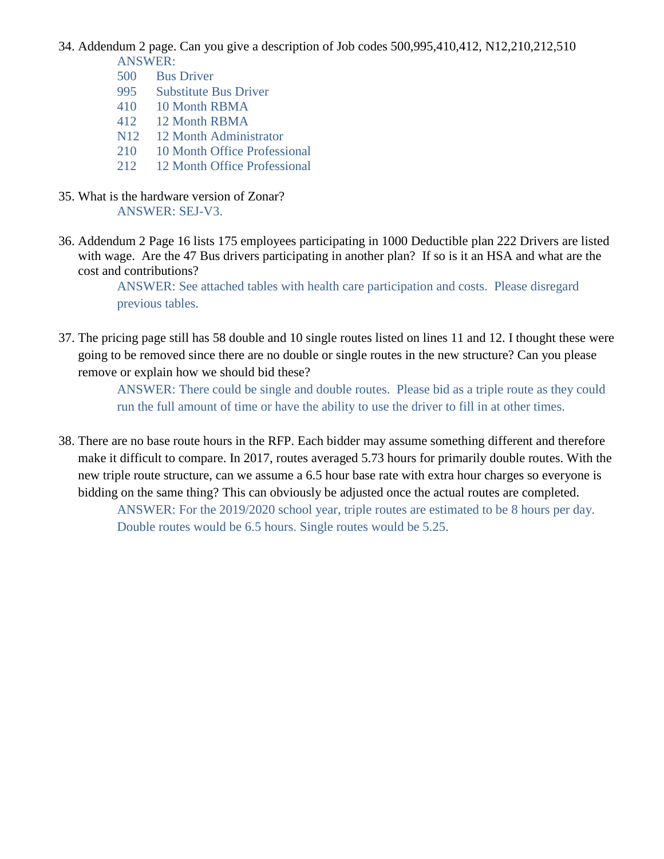34. Addendum 2 page. Can you give a description of Job codes 500,995,410,412, N12,210,212,510 ANSWER:

- 500 Bus Driver
- 995 Substitute Bus Driver
- 410 10 Month RBMA
- 412 12 Month RBMA
- N12 12 Month Administrator
- 210 10 Month Office Professional
- 212 12 Month Office Professional
- 35. What is the hardware version of Zonar? ANSWER: SEJ-V3.
- 36. Addendum 2 Page 16 lists 175 employees participating in 1000 Deductible plan 222 Drivers are listed with wage. Are the 47 Bus drivers participating in another plan? If so is it an HSA and what are the cost and contributions?

ANSWER: See attached tables with health care participation and costs. Please disregard previous tables.

37. The pricing page still has 58 double and 10 single routes listed on lines 11 and 12. I thought these were going to be removed since there are no double or single routes in the new structure? Can you please remove or explain how we should bid these?

> ANSWER: There could be single and double routes. Please bid as a triple route as they could run the full amount of time or have the ability to use the driver to fill in at other times.

38. There are no base route hours in the RFP. Each bidder may assume something different and therefore make it difficult to compare. In 2017, routes averaged 5.73 hours for primarily double routes. With the new triple route structure, can we assume a 6.5 hour base rate with extra hour charges so everyone is bidding on the same thing? This can obviously be adjusted once the actual routes are completed.

ANSWER: For the 2019/2020 school year, triple routes are estimated to be 8 hours per day. Double routes would be 6.5 hours. Single routes would be 5.25.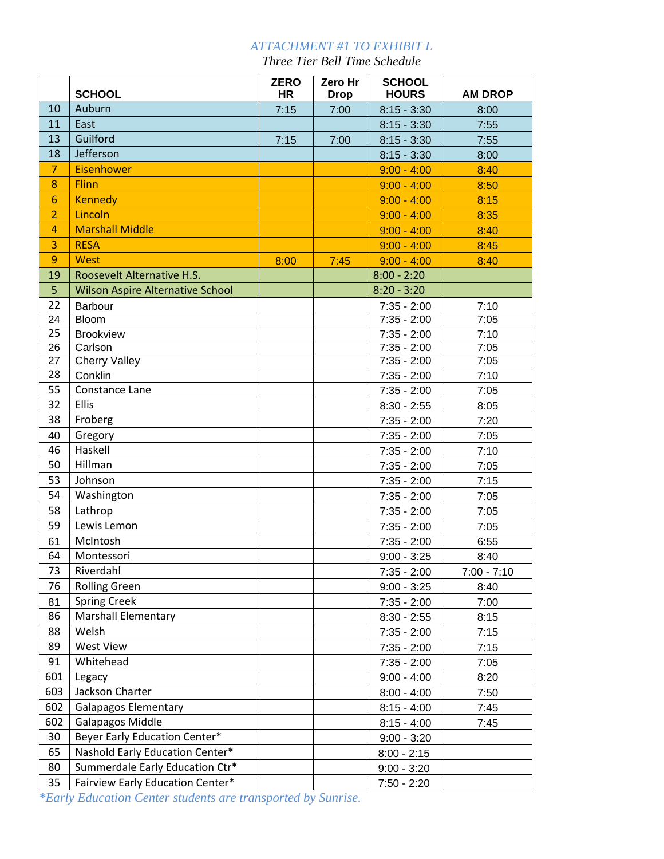### *ATTACHMENT #1 TO EXHIBIT L*

*Three Tier Bell Time Schedule*

|                |                                         | <b>ZERO</b> | Zero Hr     | <b>SCHOOL</b> |                |
|----------------|-----------------------------------------|-------------|-------------|---------------|----------------|
|                | <b>SCHOOL</b>                           | <b>HR</b>   | <b>Drop</b> | <b>HOURS</b>  | <b>AM DROP</b> |
| 10             | Auburn                                  | 7:15        | 7:00        | $8:15 - 3:30$ | 8:00           |
| 11             | East                                    |             |             | $8:15 - 3:30$ | 7:55           |
| 13             | Guilford                                | 7:15        | 7:00        | $8:15 - 3:30$ | 7:55           |
| 18             | Jefferson                               |             |             | $8:15 - 3:30$ | 8:00           |
| $\overline{7}$ | <b>Eisenhower</b>                       |             |             | $9:00 - 4:00$ | 8:40           |
| 8              | Flinn                                   |             |             | $9:00 - 4:00$ | 8:50           |
| 6              | <b>Kennedy</b>                          |             |             | $9:00 - 4:00$ | 8:15           |
| $\overline{2}$ | Lincoln                                 |             |             | $9:00 - 4:00$ | 8:35           |
| $\overline{4}$ | <b>Marshall Middle</b>                  |             |             | $9:00 - 4:00$ | 8:40           |
| 3              | <b>RESA</b>                             |             |             | $9:00 - 4:00$ | 8:45           |
| 9              | West                                    | 8:00        | 7:45        | $9:00 - 4:00$ | 8:40           |
| 19             | Roosevelt Alternative H.S.              |             |             | $8:00 - 2:20$ |                |
| 5              | <b>Wilson Aspire Alternative School</b> |             |             | $8:20 - 3:20$ |                |
| 22             | Barbour                                 |             |             | $7:35 - 2:00$ | 7:10           |
| 24             | Bloom                                   |             |             | $7:35 - 2:00$ | 7:05           |
| 25             | <b>Brookview</b>                        |             |             | $7:35 - 2:00$ | 7:10           |
| 26             | Carlson                                 |             |             | $7:35 - 2:00$ | 7:05           |
| 27             | <b>Cherry Valley</b>                    |             |             | $7:35 - 2:00$ | 7:05           |
| 28             | Conklin                                 |             |             | $7:35 - 2:00$ | 7:10           |
| 55             | Constance Lane                          |             |             | $7:35 - 2:00$ | 7:05           |
| 32             | Ellis                                   |             |             | $8:30 - 2:55$ | 8:05           |
| 38             | Froberg                                 |             |             | $7:35 - 2:00$ | 7:20           |
| 40             | Gregory                                 |             |             | $7:35 - 2:00$ | 7:05           |
| 46             | Haskell                                 |             |             | $7:35 - 2:00$ | 7:10           |
| 50             | Hillman                                 |             |             | $7:35 - 2:00$ | 7:05           |
| 53             | Johnson                                 |             |             | $7:35 - 2:00$ | 7:15           |
| 54             | Washington                              |             |             | $7:35 - 2:00$ | 7:05           |
| 58             | Lathrop                                 |             |             | $7:35 - 2:00$ | 7:05           |
| 59             | Lewis Lemon                             |             |             | $7:35 - 2:00$ | 7:05           |
| 61             | McIntosh                                |             |             | $7:35 - 2:00$ | 6:55           |
| 64             | Montessori                              |             |             | $9:00 - 3:25$ | 8:40           |
| 73             | Riverdahl                               |             |             | $7:35 - 2:00$ | $7:00 - 7:10$  |
| 76             | <b>Rolling Green</b>                    |             |             | $9:00 - 3:25$ | 8:40           |
| 81             | <b>Spring Creek</b>                     |             |             | $7:35 - 2:00$ | 7:00           |
| 86             | <b>Marshall Elementary</b>              |             |             | $8:30 - 2:55$ | 8:15           |
| 88             | Welsh                                   |             |             | $7:35 - 2:00$ | 7:15           |
| 89             | <b>West View</b>                        |             |             | $7:35 - 2:00$ | 7:15           |
| 91             | Whitehead                               |             |             | $7:35 - 2:00$ | 7:05           |
| 601            | Legacy                                  |             |             | $9:00 - 4:00$ | 8:20           |
| 603            | Jackson Charter                         |             |             | $8:00 - 4:00$ | 7:50           |
| 602            | <b>Galapagos Elementary</b>             |             |             | $8:15 - 4:00$ | 7:45           |
| 602            | <b>Galapagos Middle</b>                 |             |             | $8:15 - 4:00$ | 7:45           |
| 30             | Beyer Early Education Center*           |             |             | $9:00 - 3:20$ |                |
| 65             | Nashold Early Education Center*         |             |             | $8:00 - 2:15$ |                |
| 80             | Summerdale Early Education Ctr*         |             |             | $9:00 - 3:20$ |                |
| 35             | Fairview Early Education Center*        |             |             | $7:50 - 2:20$ |                |

*\*Early Education Center students are transported by Sunrise.*